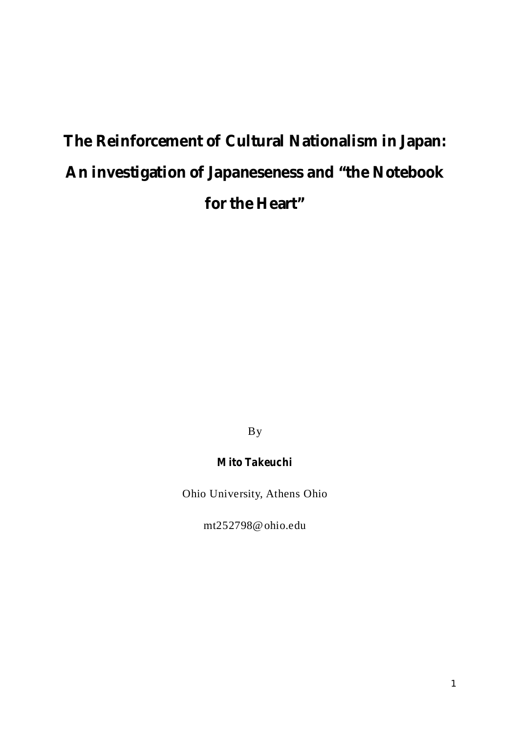# **The Reinforcement of Cultural Nationalism in Japan: An investigation of Japaneseness and "the Notebook for the Heart"**

By

# **Mito Takeuchi**

Ohio University, Athens Ohio

mt252798@ohio.edu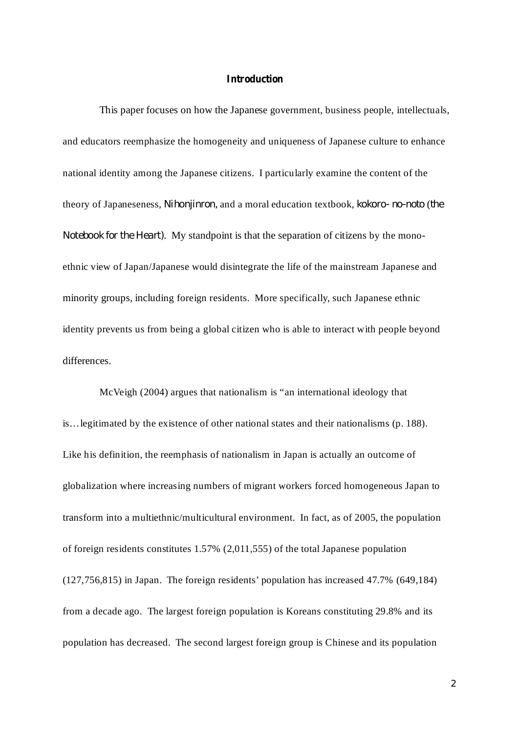#### **Introduction**

This paper focuses on how the Japanese government, business people, intellectuals, and educators reemphasize the homogeneity and uniqueness of Japanese culture to enhance national identity among the Japanese citizens. I particularly examine the content of the theory of Japaneseness, Nihonjinron, and a moral education textbook, kokoro-no-noto (the Notebook for the Heart). My standpoint is that the separation of citizens by the monoethnic view of Japan/Japanese would disintegrate the life of the mainstream Japanese and minority groups, including foreign residents. More specifically, such Japanese ethnic identity prevents us from being a global citizen who is able to interact with people beyond differences.

McVeigh (2004) argues that nationalism is "an international ideology that is…legitimated by the existence of other national states and their nationalisms (p. 188). Like his definition, the reemphasis of nationalism in Japan is actually an outcome of globalization where increasing numbers of migrant workers forced homogeneous Japan to transform into a multiethnic/multicultural environment. In fact, as of 2005, the population of foreign residents constitutes 1.57% (2,011,555) of the total Japanese population (127,756,815) in Japan. The foreign residents' population has increased 47.7% (649,184) from a decade ago. The largest foreign population is Koreans constituting 29.8% and its population has decreased. The second largest foreign group is Chinese and its population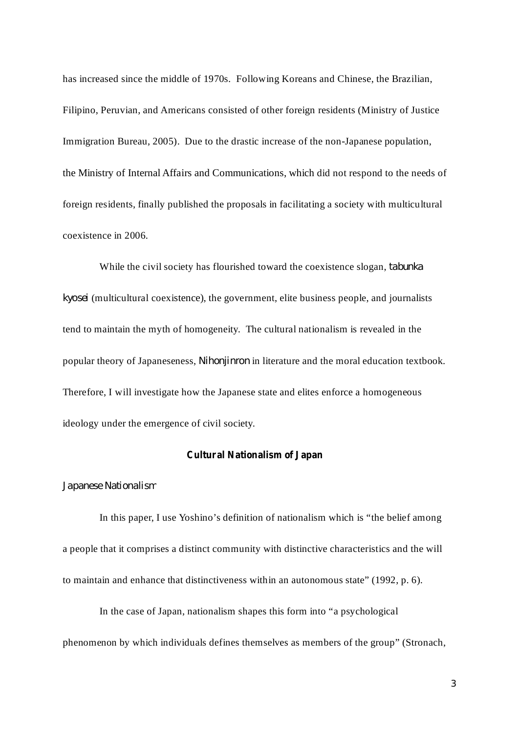has increased since the middle of 1970s. Following Koreans and Chinese, the Brazilian, Filipino, Peruvian, and Americans consisted of other foreign residents (Ministry of Justice Immigration Bureau, 2005). Due to the drastic increase of the non-Japanese population, the Ministry of Internal Affairs and Communications, which did not respond to the needs of foreign residents, finally published the proposals in facilitating a society with multicultural coexistence in 2006.

While the civil society has flourished toward the coexistence slogan, *tabunka* (multicultural coexistence), the government, elite business people, and journalists *kyosei* tend to maintain the myth of homogeneity. The cultural nationalism is revealed in the popular theory of Japaneseness, *Nihonjinron* in literature and the moral education textbook. Therefore, I will investigate how the Japanese state and elites enforce a homogeneous ideology under the emergence of civil society.

# **Cultural Nationalism of Japan**

#### *Japanese Nationalism*

In this paper, I use Yoshino's definition of nationalism which is "the belief among a people that it comprises a distinct community with distinctive characteristics and the will to maintain and enhance that distinctiveness within an autonomous state" (1992, p. 6).

In the case of Japan, nationalism shapes this form into "a psychological

phenomenon by which individuals defines themselves as members of the group" (Stronach,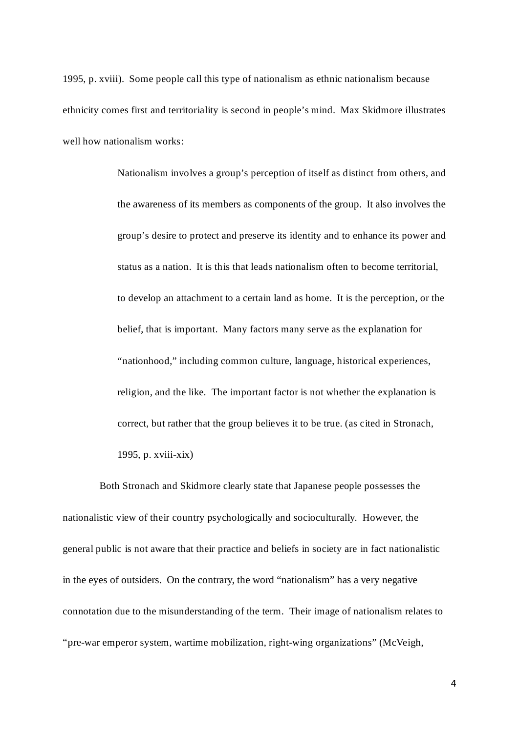1995, p. xviii). Some people call this type of nationalism as ethnic nationalism because ethnicity comes first and territoriality is second in people's mind. Max Skidmore illustrates well how nationalism works:

> Nationalism involves a group's perception of itself as distinct from others, and the awareness of its members as components of the group. It also involves the group's desire to protect and preserve its identity and to enhance its power and status as a nation. It is this that leads nationalism often to become territorial, to develop an attachment to a certain land as home. It is the perception, or the belief, that is important. Many factors many serve as the explanation for "nationhood," including common culture, language, historical experiences, religion, and the like. The important factor is not whether the explanation is correct, but rather that the group believes it to be true. (as cited in Stronach, 1995, p. xviii-xix)

Both Stronach and Skidmore clearly state that Japanese people possesses the nationalistic view of their country psychologically and socioculturally. However, the general public is not aware that their practice and beliefs in society are in fact nationalistic in the eyes of outsiders. On the contrary, the word "nationalism" has a very negative connotation due to the misunderstanding of the term. Their image of nationalism relates to "pre-war emperor system, wartime mobilization, right-wing organizations" (McVeigh,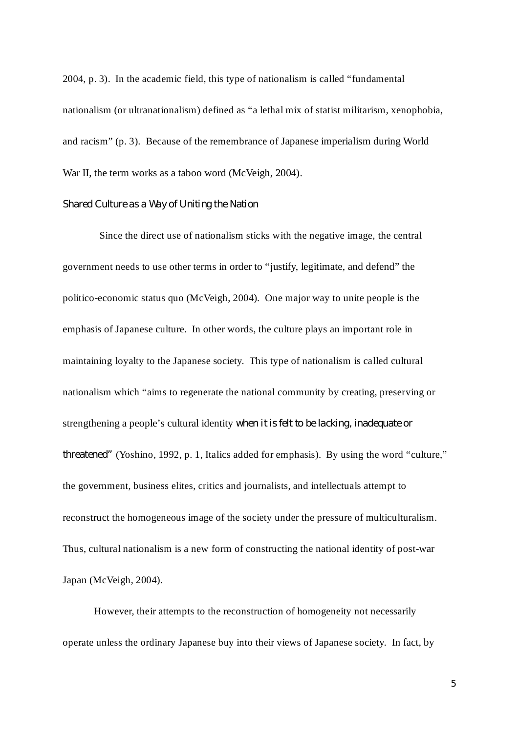2004, p. 3). In the academic field, this type of nationalism is called "fundamental nationalism (or ultranationalism) defined as "a lethal mix of statist militarism, xenophobia, and racism" (p. 3). Because of the remembrance of Japanese imperialism during World War II, the term works as a taboo word (McVeigh, 2004).

# *Shared Culture as a Way of Uniting the Nation*

Since the direct use of nationalism sticks with the negative image, the central government needs to use other terms in order to "justify, legitimate, and defend" the politico-economic status quo (McVeigh, 2004). One major way to unite people is the emphasis of Japanese culture. In other words, the culture plays an important role in maintaining loyalty to the Japanese society. This type of nationalism is called cultural nationalism which "aims to regenerate the national community by creating, preserving or strengthening a people's cultural identity *when it is felt to be lacking, inadequate or* threatened" (Yoshino, 1992, p. 1, Italics added for emphasis). By using the word "culture," the government, business elites, critics and journalists, and intellectuals attempt to reconstruct the homogeneous image of the society under the pressure of multiculturalism. Thus, cultural nationalism is a new form of constructing the national identity of post-war Japan (McVeigh, 2004).

However, their attempts to the reconstruction of homogeneity not necessarily operate unless the ordinary Japanese buy into their views of Japanese society. In fact, by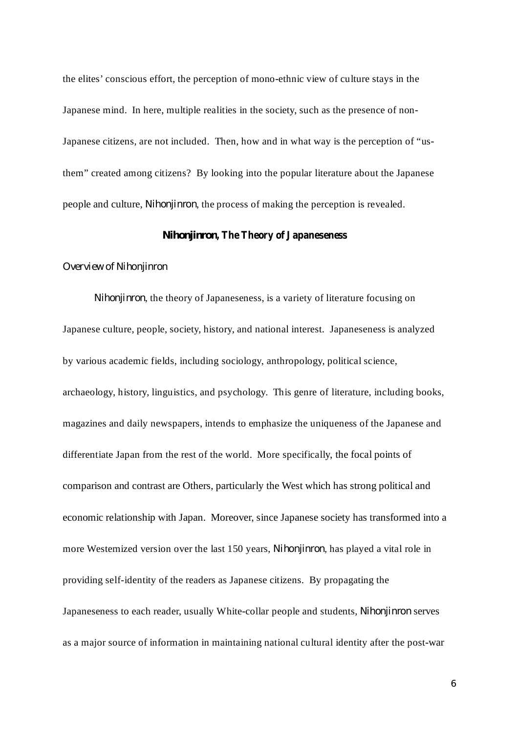the elites' conscious effort, the perception of mono-ethnic view of culture stays in the Japanese mind. In here, multiple realities in the society, such as the presence of non-Japanese citizens, are not included. Then, how and in what way is the perception of "usthem" created among citizens? By looking into the popular literature about the Japanese people and culture, *Nihonjinron*, the process of making the perception is revealed.

## *Nihonjinron***, The Theory of Japaneseness**

#### *Overview of Nihonjinron*

Nihonjinron, the theory of Japaneseness, is a variety of literature focusing on Japanese culture, people, society, history, and national interest. Japaneseness is analyzed by various academic fields, including sociology, anthropology, political science, archaeology, history, linguistics, and psychology. This genre of literature, including books, magazines and daily newspapers, intends to emphasize the uniqueness of the Japanese and differentiate Japan from the rest of the world. More specifically, the focal points of comparison and contrast are Others, particularly the West which has strong political and economic relationship with Japan. Moreover, since Japanese society has transformed into a more Westernized version over the last 150 years, *Nihonjinron*, has played a vital role in providing self-identity of the readers as Japanese citizens. By propagating the Japaneseness to each reader, usually White-collar people and students, Nihonjinron serves as a major source of information in maintaining national cultural identity after the post-war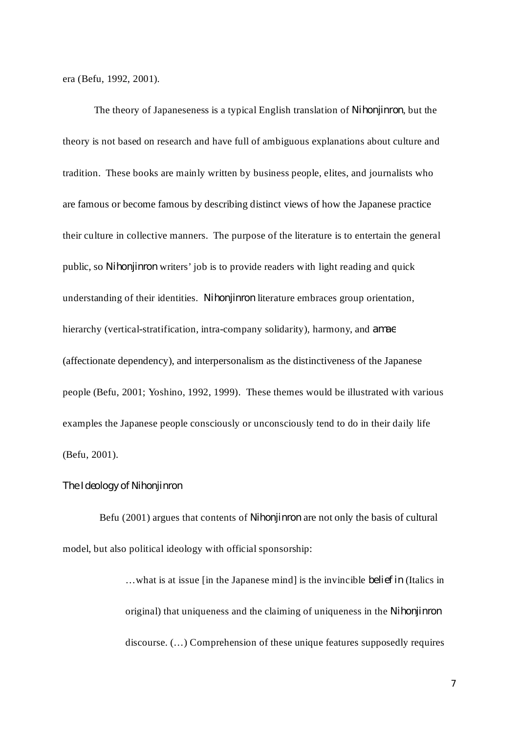era (Befu, 1992, 2001).

The theory of Japaneseness is a typical English translation of *Nihonjinron*, but the theory is not based on research and have full of ambiguous explanations about culture and tradition. These books are mainly written by business people, elites, and journalists who are famous or become famous by describing distinct views of how the Japanese practice their culture in collective manners. The purpose of the literature is to entertain the general public, so Nihonjinron writers' job is to provide readers with light reading and quick understanding of their identities. Nihonjinron literature embraces group orientation, hierarchy (vertical-stratification, intra-company solidarity), harmony, and *amae* (affectionate dependency), and interpersonalism as the distinctiveness of the Japanese people (Befu, 2001; Yoshino, 1992, 1999). These themes would be illustrated with various examples the Japanese people consciously or unconsciously tend to do in their daily life (Befu, 2001).

#### *The Ideology of Nihonjinron*

Befu (2001) argues that contents of *Nihonjinron* are not only the basis of cultural model, but also political ideology with official sponsorship:

> ...what is at issue [in the Japanese mind] is the invincible *belief in* (Italics in original) that uniqueness and the claiming of uniqueness in the *Nihonjinron*discourse. (…) Comprehension of these unique features supposedly requires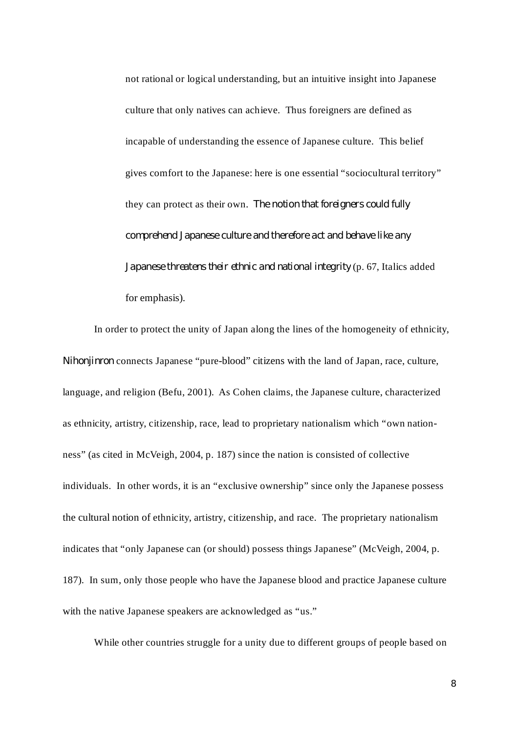not rational or logical understanding, but an intuitive insight into Japanese culture that only natives can achieve. Thus foreigners are defined as incapable of understanding the essence of Japanese culture. This belief gives comfort to the Japanese: here is one essential "sociocultural territory" they can protect as their own. *The notion that foreigners could fully Japanese threatens their ethnic and national integrity* (p. 67, Italics added for emphasis). *comprehend Japanese culture and therefore act and behave like any*

In order to protect the unity of Japan along the lines of the homogeneity of ethnicity, *Nihonjinron* connects Japanese "pure-blood" citizens with the land of Japan, race, culture, language, and religion (Befu, 2001). As Cohen claims, the Japanese culture, characterized as ethnicity, artistry, citizenship, race, lead to proprietary nationalism which "own nationness" (as cited in McVeigh, 2004, p. 187) since the nation is consisted of collective individuals. In other words, it is an "exclusive ownership" since only the Japanese possess the cultural notion of ethnicity, artistry, citizenship, and race. The proprietary nationalism indicates that "only Japanese can (or should) possess things Japanese" (McVeigh, 2004, p. 187). In sum, only those people who have the Japanese blood and practice Japanese culture with the native Japanese speakers are acknowledged as "us."

While other countries struggle for a unity due to different groups of people based on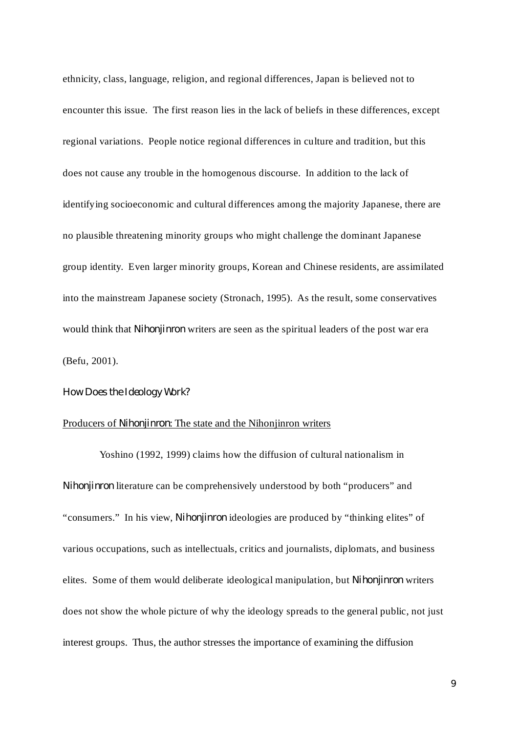ethnicity, class, language, religion, and regional differences, Japan is believed not to encounter this issue. The first reason lies in the lack of beliefs in these differences, except regional variations. People notice regional differences in culture and tradition, but this does not cause any trouble in the homogenous discourse. In addition to the lack of identifying socioeconomic and cultural differences among the majority Japanese, there are no plausible threatening minority groups who might challenge the dominant Japanese group identity. Even larger minority groups, Korean and Chinese residents, are assimilated into the mainstream Japanese society (Stronach, 1995). As the result, some conservatives would think that *Nihonjinron* writers are seen as the spiritual leaders of the post war era (Befu, 2001).

#### *How Does the Ideology Work?*

#### Producers of *Nihonjinron*: The state and the Nihonjinron writers

Yoshino (1992, 1999) claims how the diffusion of cultural nationalism in Nihonjinron literature can be comprehensively understood by both "producers" and "consumers." In his view, *Nihonjinron* ideologies are produced by "thinking elites" of various occupations, such as intellectuals, critics and journalists, diplomats, and business elites. Some of them would deliberate ideological manipulation, but *Nihonjinron* writers does not show the whole picture of why the ideology spreads to the general public, not just interest groups. Thus, the author stresses the importance of examining the diffusion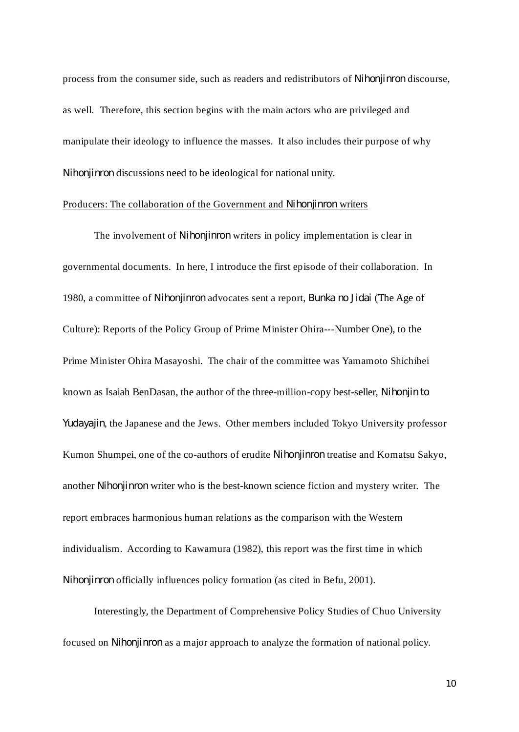process from the consumer side, such as readers and redistributors of *Nihonjinron* discourse, as well. Therefore, this section begins with the main actors who are privileged and manipulate their ideology to influence the masses. It also includes their purpose of why Nihonjinron discussions need to be ideological for national unity.

#### Producers: The collaboration of the Government and Nihonjinron writers

The involvement of *Nihonjinron* writers in policy implementation is clear in governmental documents. In here, I introduce the first episode of their collaboration. In 1980, a committee of Nihonjinron advocates sent a report, Bunka no Jidai (The Age of Culture): Reports of the Policy Group of Prime Minister Ohira---Number One), to the Prime Minister Ohira Masayoshi. The chair of the committee was Yamamoto Shichihei known as Isaiah BenDasan, the author of the three-million-copy best-seller, *Nihonjin to* Yudayajin, the Japanese and the Jews. Other members included Tokyo University professor Kumon Shumpei, one of the co-authors of erudite Nihonjinron treatise and Komatsu Sakyo, another Nihonjinron writer who is the best-known science fiction and mystery writer. The report embraces harmonious human relations as the comparison with the Western individualism. According to Kawamura (1982), this report was the first time in which *Nihonjinron* officially influences policy formation (as cited in Befu, 2001).

Interestingly, the Department of Comprehensive Policy Studies of Chuo University focused on *Nihonjinron* as a major approach to analyze the formation of national policy.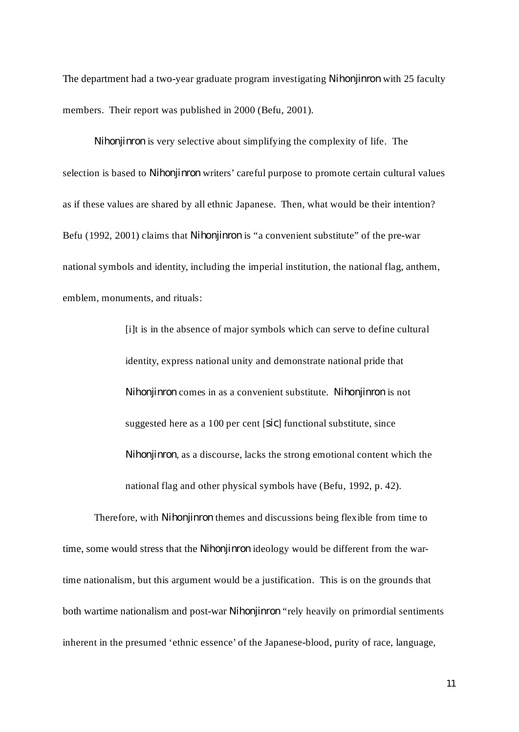The department had a two-year graduate program investigating Nihonjinron with 25 faculty members. Their report was published in 2000 (Befu, 2001).

*Nihonjinron* is very selective about simplifying the complexity of life. The selection is based to *Nihonjinron* writers' careful purpose to promote certain cultural values as if these values are shared by all ethnic Japanese. Then, what would be their intention? Befu (1992, 2001) claims that *Nihonjinron* is "a convenient substitute" of the pre-war national symbols and identity, including the imperial institution, the national flag, anthem, emblem, monuments, and rituals:

> [i]t is in the absence of major symbols which can serve to define cultural identity, express national unity and demonstrate national pride that *Nihonjinron* comes in as a convenient substitute. Nihonjinron is not suggested here as a 100 per cent [sic] functional substitute, since Nihonjinron, as a discourse, lacks the strong emotional content which the national flag and other physical symbols have (Befu, 1992, p. 42).

Therefore, with *Nihonjinron* themes and discussions being flexible from time to time, some would stress that the *Nihonjinron* ideology would be different from the wartime nationalism, but this argument would be a justification. This is on the grounds that both wartime nationalism and post-war Nihonjinron "rely heavily on primordial sentiments inherent in the presumed 'ethnic essence' of the Japanese-blood, purity of race, language,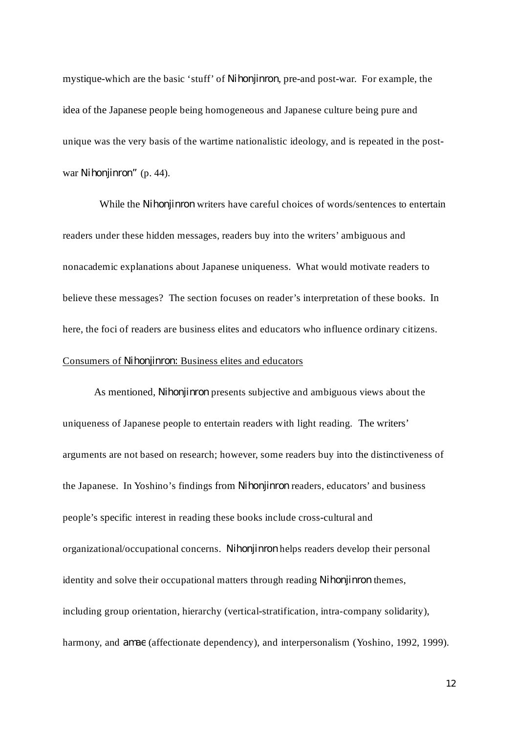mystique-which are the basic 'stuff' of *Nihonjinron*, pre-and post-war. For example, the idea of the Japanese people being homogeneous and Japanese culture being pure and unique was the very basis of the wartime nationalistic ideology, and is repeated in the postwar Nihonjinron" (p. 44).

While the *Nihonjinron* writers have careful choices of words/sentences to entertain readers under these hidden messages, readers buy into the writers' ambiguous and nonacademic explanations about Japanese uniqueness. What would motivate readers to believe these messages? The section focuses on reader's interpretation of these books. In here, the foci of readers are business elites and educators who influence ordinary citizens. Consumers of Nihonjinron: Business elites and educators

As mentioned, *Nihonjinron* presents subjective and ambiguous views about the uniqueness of Japanese people to entertain readers with light reading. The writers' arguments are not based on research; however, some readers buy into the distinctiveness of the Japanese. In Yoshino's findings from *Nihonjinron* readers, educators' and business people's specific interest in reading these books include cross-cultural and organizational/occupational concerns. Nihonjinron helps readers develop their personal identity and solve their occupational matters through reading Nihonjinron themes, including group orientation, hierarchy (vertical-stratification, intra-company solidarity), harmony, and *amae* (affectionate dependency), and interpersonalism (Yoshino, 1992, 1999).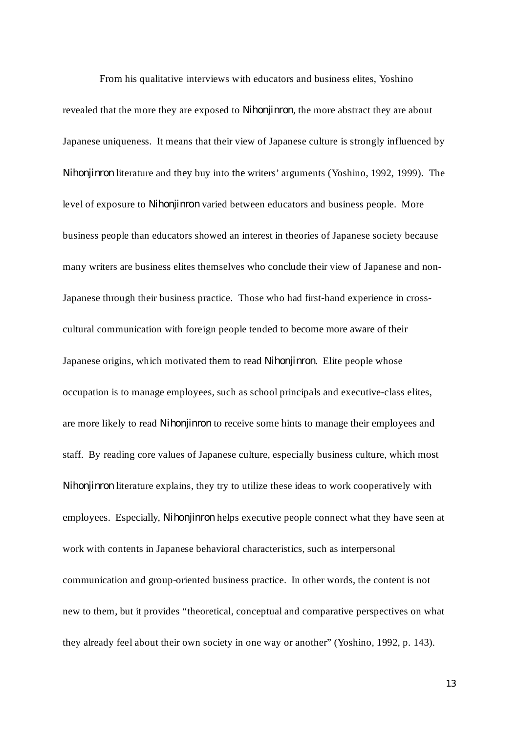From his qualitative interviews with educators and business elites, Yoshino revealed that the more they are exposed to *Nihonjinron*, the more abstract they are about Japanese uniqueness. It means that their view of Japanese culture is strongly influenced by Nihonjinron literature and they buy into the writers' arguments (Yoshino, 1992, 1999). The level of exposure to *Nihonjinron* varied between educators and business people. More business people than educators showed an interest in theories of Japanese society because many writers are business elites themselves who conclude their view of Japanese and non-Japanese through their business practice. Those who had first-hand experience in crosscultural communication with foreign people tended to become more aware of their Japanese origins, which motivated them to read *Nihonjinron*. Elite people whose occupation is to manage employees, such as school principals and executive-class elites, are more likely to read *Nihonjinron* to receive some hints to manage their employees and staff. By reading core values of Japanese culture, especially business culture, which most Nihonjinron literature explains, they try to utilize these ideas to work cooperatively with employees. Especially, *Nihonjinron* helps executive people connect what they have seen at work with contents in Japanese behavioral characteristics, such as interpersonal communication and group-oriented business practice. In other words, the content is not new to them, but it provides "theoretical, conceptual and comparative perspectives on what they already feel about their own society in one way or another" (Yoshino, 1992, p. 143).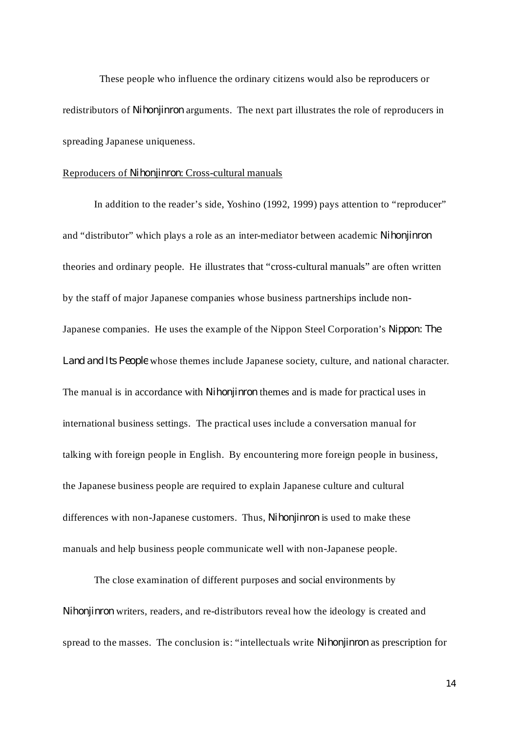These people who influence the ordinary citizens would also be reproducers or redistributors of *Nihonjinron* arguments. The next part illustrates the role of reproducers in spreading Japanese uniqueness.

#### Reproducers of Nihonjinron: Cross-cultural manuals

In addition to the reader's side, Yoshino (1992, 1999) pays attention to "reproducer" and "distributor" which plays a role as an inter-mediator between academic *Nihonjinron* theories and ordinary people. He illustrates that "cross-cultural manuals" are often written by the staff of major Japanese companies whose business partnerships include non-Japanese companies. He uses the example of the Nippon Steel Corporation's *Nippon: The* Land and Its People whose themes include Japanese society, culture, and national character. The manual is in accordance with *Nihonjinron* themes and is made for practical uses in international business settings. The practical uses include a conversation manual for talking with foreign people in English. By encountering more foreign people in business, the Japanese business people are required to explain Japanese culture and cultural differences with non-Japanese customers. Thus, *Nihonjinron* is used to make these manuals and help business people communicate well with non-Japanese people.

The close examination of different purposes and social environments by Nihonjinron writers, readers, and re-distributors reveal how the ideology is created and spread to the masses. The conclusion is: "intellectuals write *Nihonjinron* as prescription for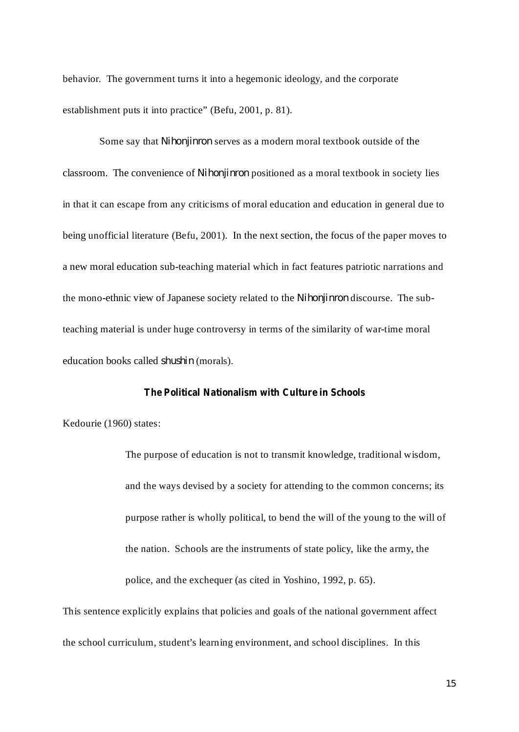behavior. The government turns it into a hegemonic ideology, and the corporate establishment puts it into practice" (Befu, 2001, p. 81).

Some say that Nihonjinron serves as a modern moral textbook outside of the classroom. The convenience of *Nihonjinron* positioned as a moral textbook in society lies in that it can escape from any criticisms of moral education and education in general due to being unofficial literature (Befu, 2001). In the next section, the focus of the paper moves to a new moral education sub-teaching material which in fact features patriotic narrations and the mono-ethnic view of Japanese society related to the *Nihonjinron* discourse. The subteaching material is under huge controversy in terms of the similarity of war-time moral education books called shushin (morals).

### **The Political Nationalism with Culture in Schools**

Kedourie (1960) states:

The purpose of education is not to transmit knowledge, traditional wisdom, and the ways devised by a society for attending to the common concerns; its purpose rather is wholly political, to bend the will of the young to the will of the nation. Schools are the instruments of state policy, like the army, the police, and the exchequer (as cited in Yoshino, 1992, p. 65).

This sentence explicitly explains that policies and goals of the national government affect the school curriculum, student's learning environment, and school disciplines. In this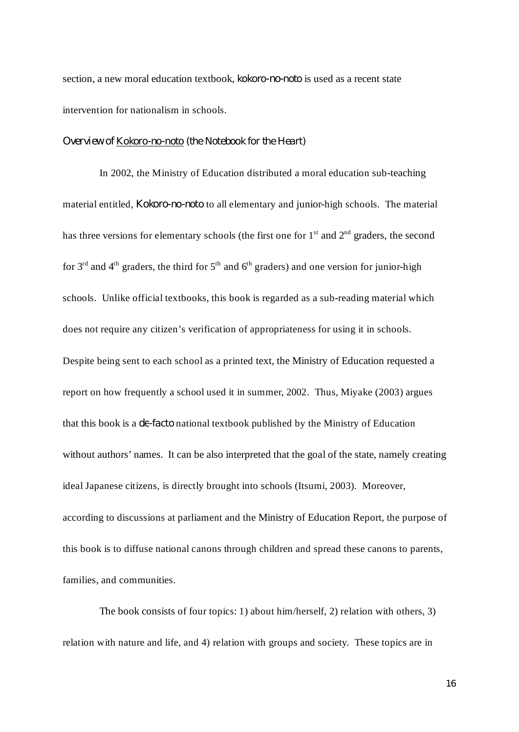section, a new moral education textbook, kokoro-no-noto is used as a recent state intervention for nationalism in schools.

#### *Overview of Kokoro-no-noto (the Notebook for the Heart)*

In 2002, the Ministry of Education distributed a moral education sub-teaching material entitled, *Kokoro-no-noto* to all elementary and junior-high schools. The material has three versions for elementary schools (the first one for  $1<sup>st</sup>$  and  $2<sup>nd</sup>$  graders, the second for  $3<sup>rd</sup>$  and  $4<sup>th</sup>$  graders, the third for  $5<sup>th</sup>$  and  $6<sup>th</sup>$  graders) and one version for junior-high schools. Unlike official textbooks, this book is regarded as a sub-reading material which does not require any citizen's verification of appropriateness for using it in schools. Despite being sent to each school as a printed text, the Ministry of Education requested a report on how frequently a school used it in summer, 2002. Thus, Miyake (2003) argues that this book is a *de-facto* national textbook published by the Ministry of Education without authors' names. It can be also interpreted that the goal of the state, namely creating ideal Japanese citizens, is directly brought into schools (Itsumi, 2003). Moreover, according to discussions at parliament and the Ministry of Education Report, the purpose of this book is to diffuse national canons through children and spread these canons to parents, families, and communities.

The book consists of four topics: 1) about him/herself, 2) relation with others, 3) relation with nature and life, and 4) relation with groups and society. These topics are in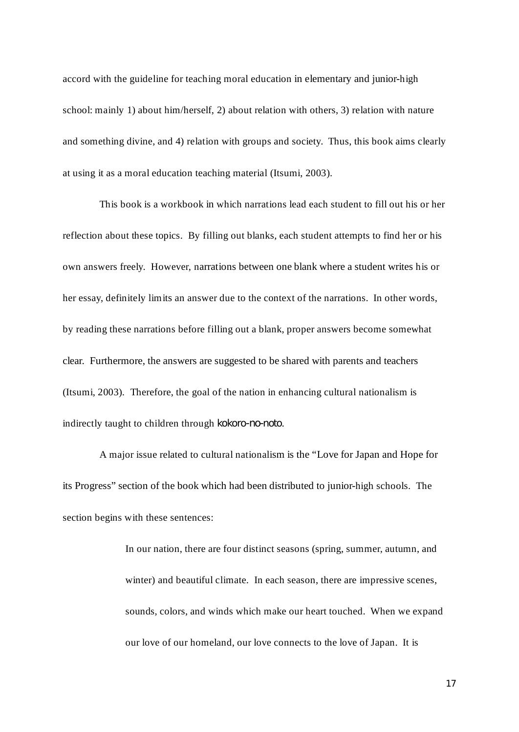accord with the guideline for teaching moral education in elementary and junior-high school: mainly 1) about him/herself, 2) about relation with others, 3) relation with nature and something divine, and 4) relation with groups and society. Thus, this book aims clearly at using it as a moral education teaching material (Itsumi, 2003).

This book is a workbook in which narrations lead each student to fill out his or her reflection about these topics. By filling out blanks, each student attempts to find her or his own answers freely. However, narrations between one blank where a student writes his or her essay, definitely limits an answer due to the context of the narrations. In other words, by reading these narrations before filling out a blank, proper answers become somewhat clear. Furthermore, the answers are suggested to be shared with parents and teachers (Itsumi, 2003). Therefore, the goal of the nation in enhancing cultural nationalism is indirectly taught to children through . *kokoro-no-noto*

A major issue related to cultural nationalism is the "Love for Japan and Hope for its Progress" section of the book which had been distributed to junior-high schools. The section begins with these sentences:

> In our nation, there are four distinct seasons (spring, summer, autumn, and winter) and beautiful climate. In each season, there are impressive scenes, sounds, colors, and winds which make our heart touched. When we expand our love of our homeland, our love connects to the love of Japan. It is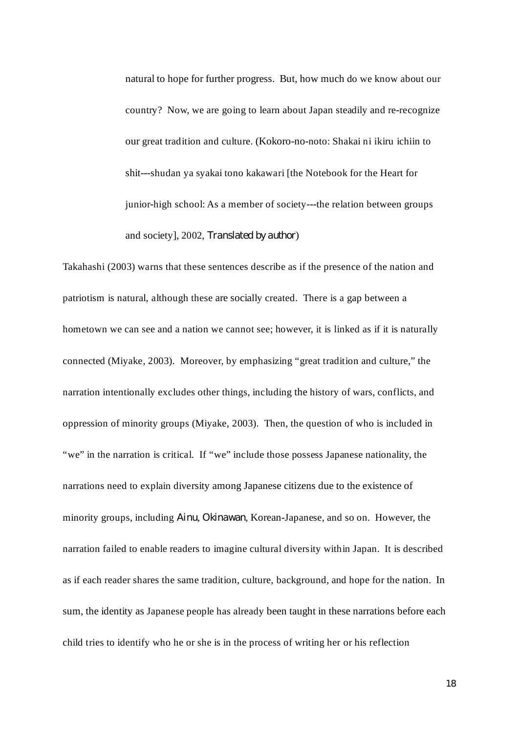natural to hope for further progress. But, how much do we know about our country? Now, we are going to learn about Japan steadily and re-recognize our great tradition and culture. (Kokoro-no-noto: Shakai ni ikiru ichiin to shit---shudan ya syakai tono kakawari [the Notebook for the Heart for junior-high school: As a member of society---the relation between groups and society], 2002, *Translated by author*)

Takahashi (2003) warns that these sentences describe as if the presence of the nation and patriotism is natural, although these are socially created. There is a gap between a hometown we can see and a nation we cannot see; however, it is linked as if it is naturally connected (Miyake, 2003). Moreover, by emphasizing "great tradition and culture," the narration intentionally excludes other things, including the history of wars, conflicts, and oppression of minority groups (Miyake, 2003). Then, the question of who is included in "we" in the narration is critical. If "we" include those possess Japanese nationality, the narrations need to explain diversity among Japanese citizens due to the existence of minority groups, including Ainu, Okinawan, Korean-Japanese, and so on. However, the narration failed to enable readers to imagine cultural diversity within Japan. It is described as if each reader shares the same tradition, culture, background, and hope for the nation. In sum, the identity as Japanese people has already been taught in these narrations before each child tries to identify who he or she is in the process of writing her or his reflection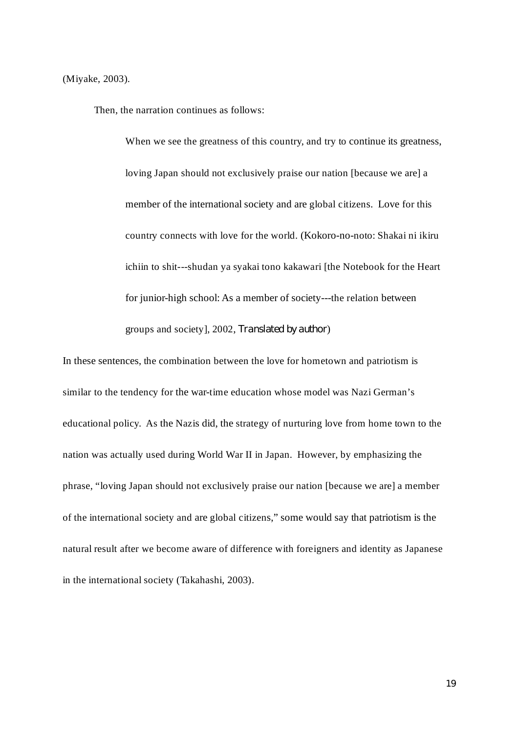(Miyake, 2003).

Then, the narration continues as follows:

When we see the greatness of this country, and try to continue its greatness, loving Japan should not exclusively praise our nation [because we are] a member of the international society and are global citizens. Love for this country connects with love for the world. (Kokoro-no-noto: Shakai ni ikiru ichiin to shit---shudan ya syakai tono kakawari [the Notebook for the Heart for junior-high school: As a member of society---the relation between groups and society], 2002, *Translated by author*)

In these sentences, the combination between the love for hometown and patriotism is similar to the tendency for the war-time education whose model was Nazi German's educational policy. As the Nazis did, the strategy of nurturing love from home town to the nation was actually used during World War II in Japan. However, by emphasizing the phrase, "loving Japan should not exclusively praise our nation [because we are] a member of the international society and are global citizens," some would say that patriotism is the natural result after we become aware of difference with foreigners and identity as Japanese in the international society (Takahashi, 2003).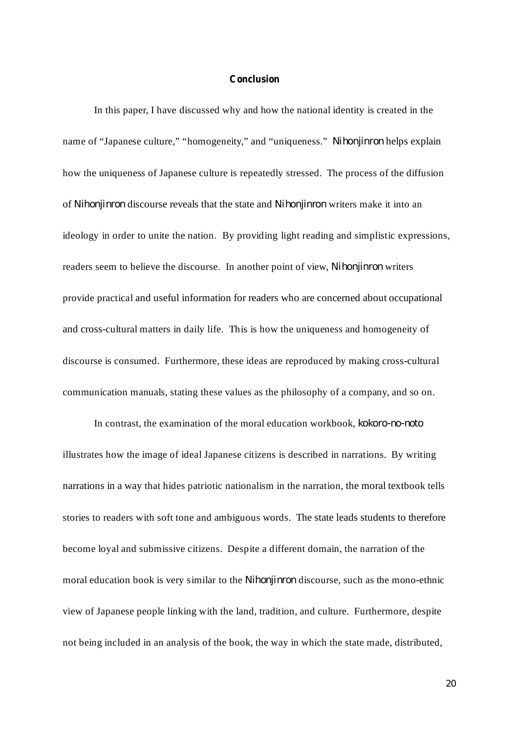#### **Conclusion**

In this paper, I have discussed why and how the national identity is created in the name of "Japanese culture," "homogeneity," and "uniqueness." Nihonjinron helps explain how the uniqueness of Japanese culture is repeatedly stressed. The process of the diffusion of Nihonjinron discourse reveals that the state and Nihonjinron writers make it into an ideology in order to unite the nation. By providing light reading and simplistic expressions, readers seem to believe the discourse. In another point of view, *Nihonjinron* writers provide practical and useful information for readers who are concerned about occupational and cross-cultural matters in daily life. This is how the uniqueness and homogeneity of discourse is consumed. Furthermore, these ideas are reproduced by making cross-cultural communication manuals, stating these values as the philosophy of a company, and so on.

In contrast, the examination of the moral education workbook, *kokoro-no-noto* illustrates how the image of ideal Japanese citizens is described in narrations. By writing narrations in a way that hides patriotic nationalism in the narration, the moral textbook tells stories to readers with soft tone and ambiguous words. The state leads students to therefore become loyal and submissive citizens. Despite a different domain, the narration of the moral education book is very similar to the *Nihonjinron* discourse, such as the mono-ethnic view of Japanese people linking with the land, tradition, and culture. Furthermore, despite not being included in an analysis of the book, the way in which the state made, distributed,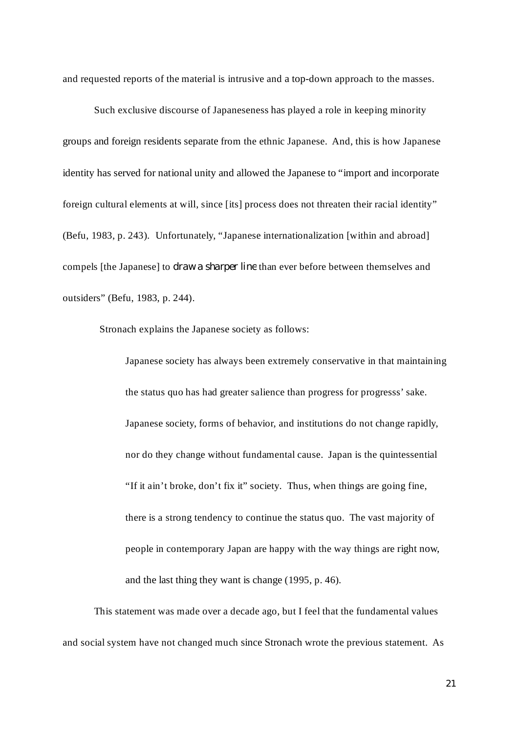and requested reports of the material is intrusive and a top-down approach to the masses.

Such exclusive discourse of Japaneseness has played a role in keeping minority groups and foreign residents separate from the ethnic Japanese. And, this is how Japanese identity has served for national unity and allowed the Japanese to "import and incorporate foreign cultural elements at will, since [its] process does not threaten their racial identity" (Befu, 1983, p. 243). Unfortunately, "Japanese internationalization [within and abroad] compels [the Japanese] to *draw a sharper line* than ever before between themselves and outsiders" (Befu, 1983, p. 244).

Stronach explains the Japanese society as follows:

Japanese society has always been extremely conservative in that maintaining the status quo has had greater salience than progress for progresss' sake. Japanese society, forms of behavior, and institutions do not change rapidly, nor do they change without fundamental cause. Japan is the quintessential "If it ain't broke, don't fix it" society. Thus, when things are going fine, there is a strong tendency to continue the status quo. The vast majority of people in contemporary Japan are happy with the way things are right now, and the last thing they want is change (1995, p. 46).

This statement was made over a decade ago, but I feel that the fundamental values and social system have not changed much since Stronach wrote the previous statement. As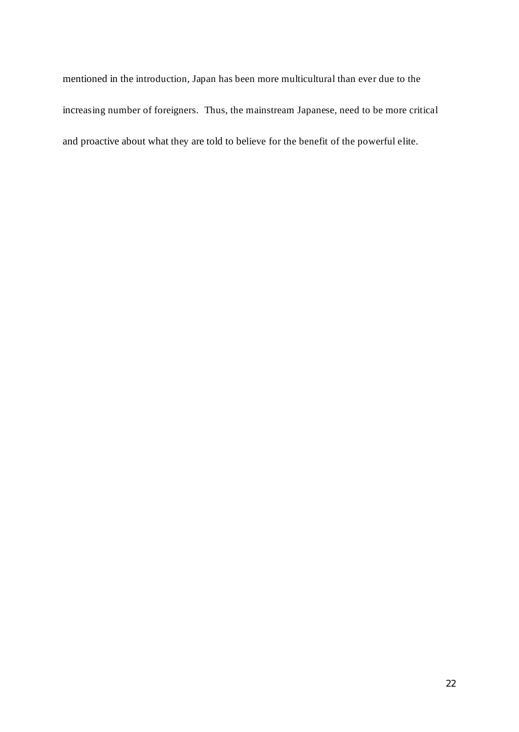mentioned in the introduction, Japan has been more multicultural than ever due to the increasing number of foreigners. Thus, the mainstream Japanese, need to be more critical and proactive about what they are told to believe for the benefit of the powerful elite.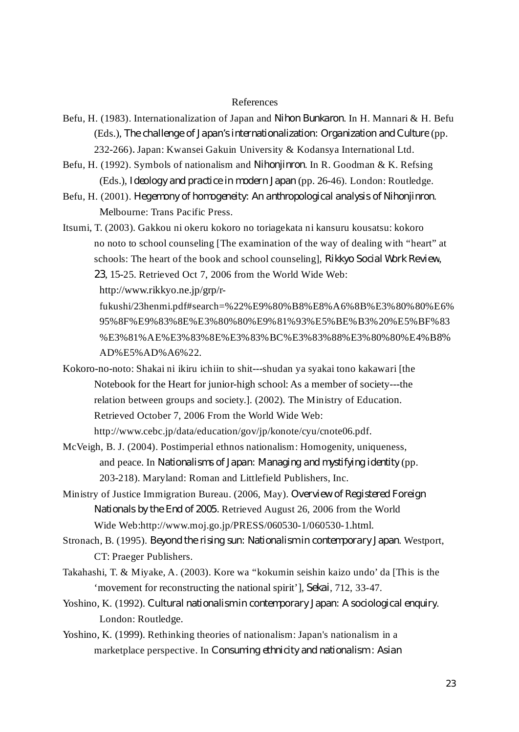#### References

- Befu, H. (1983). Internationalization of Japan and Nihon Bunkaron. In H. Mannari & H. Befu (Eds.), The challenge of Japan's internationalization: Organization and Culture (pp. 232-266) Japan: Kwansei Gakuin University & Kodansya International Ltd. *.*
- Befu, H. (1992). Symbols of nationalism and *Nihonjinron*. In R. Goodman & K. Refsing (Eds.), Ideology and practice in modern Japan (pp. 26-46). London: Routledge.
- Befu, H. (2001). Hegemony of homogeneity: An anthropological analysis of Nihonjinron. Melbourne: Trans Pacific Press.
- Itsumi, T. (2003). Gakkou ni okeru kokoro no toriagekata ni kansuru kousatsu: kokoro no noto to school counseling [The examination of the way of dealing with "heart" at schools: The heart of the book and school counseling], *Rikkyo Social Work Review*, , 15-25. Retrieved Oct 7, 2006 from the World Wide Web: *23*

http://www.rikkyo.ne.jp/grp/r-

fukushi/23henmi.pdf#search=%22%E9%80%B8%E8%A6%8B%E3%80%80%E6% 95%8F%E9%83%8E%E3%80%80%E9%81%93%E5%BE%B3%20%E5%BF%83 %E3%81%AE%E3%83%8E%E3%83%BC%E3%83%88%E3%80%80%E4%B8% AD%E5%AD%A6%22.

- Kokoro-no-noto: Shakai ni ikiru ichiin to shit---shudan ya syakai tono kakawari [the Notebook for the Heart for junior-high school: As a member of society---the relation between groups and society.]. (2002). The Ministry of Education. Retrieved October 7, 2006 From the World Wide Web: http://www.cebc.jp/data/education/gov/jp/konote/cyu/cnote06.pdf.
- McVeigh, B. J. (2004). Postimperial ethnos nationalism: Homogenity, uniqueness, and peace. In Nationalisms of Japan: Managing and mystifying *identity* (pp. 203-218). Maryland: Roman and Littlefield Publishers, Inc.
- Ministry of Justice Immigration Bureau. (2006, May). *Overview of Registered Foreign* Retrieved August 26, 2006 from the World *Nationals by the End of 2005.* Wide Web:http://www.moj.go.jp/PRESS/060530-1/060530-1.html.
- Stronach, B. (1995). Beyond the rising sun: Nationalism in contemporary Japan. Westport, CT: Praeger Publishers.
- Takahashi, T. & Miyake, A. (2003). Kore wa "kokumin seishin kaizo undo' da [This is the 'movement for reconstructing the national spirit'], Sekai, 712, 33-47.
- Yoshino, K. (1992). Cultural nationalism in contemporary Japan: A sociological enquiry. London: Routledge.
- Yoshino, K. (1999). Rethinking theories of nationalism: Japan's nationalism in a marketplace perspective. In *Consuming ethnicity and nationalism : Asian*